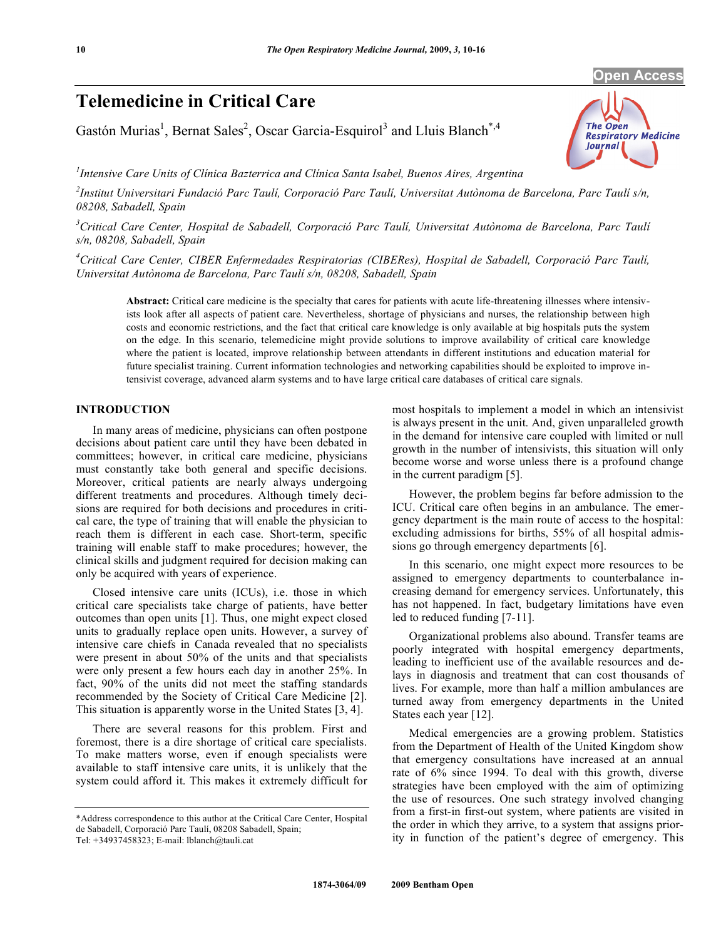# **Telemedicine in Critical Care**

Gastón Murias<sup>1</sup>, Bernat Sales<sup>2</sup>, Oscar Garcia-Esquirol<sup>3</sup> and Lluis Blanch<sup>\*,4</sup>



*1 Intensive Care Units of Clínica Bazterrica and Clínica Santa Isabel, Buenos Aires, Argentina* 

*2 Institut Universitari Fundació Parc Taulí, Corporació Parc Taulí, Universitat Autònoma de Barcelona, Parc Taulí s/n, 08208, Sabadell, Spain* 

<sup>3</sup> Critical Care Center, Hospital de Sabadell, Corporació Parc Taulí, Universitat Autònoma de Barcelona, Parc Taulí *s/n, 08208, Sabadell, Spain* 

*4 Critical Care Center, CIBER Enfermedades Respiratorias (CIBERes), Hospital de Sabadell, Corporació Parc Taulí, Universitat Autònoma de Barcelona, Parc Taulí s/n, 08208, Sabadell, Spain* 

**Abstract:** Critical care medicine is the specialty that cares for patients with acute life-threatening illnesses where intensivists look after all aspects of patient care. Nevertheless, shortage of physicians and nurses, the relationship between high costs and economic restrictions, and the fact that critical care knowledge is only available at big hospitals puts the system on the edge. In this scenario, telemedicine might provide solutions to improve availability of critical care knowledge where the patient is located, improve relationship between attendants in different institutions and education material for future specialist training. Current information technologies and networking capabilities should be exploited to improve intensivist coverage, advanced alarm systems and to have large critical care databases of critical care signals.

# **INTRODUCTION**

 In many areas of medicine, physicians can often postpone decisions about patient care until they have been debated in committees; however, in critical care medicine, physicians must constantly take both general and specific decisions. Moreover, critical patients are nearly always undergoing different treatments and procedures. Although timely decisions are required for both decisions and procedures in critical care, the type of training that will enable the physician to reach them is different in each case. Short-term, specific training will enable staff to make procedures; however, the clinical skills and judgment required for decision making can only be acquired with years of experience.

 Closed intensive care units (ICUs), i.e. those in which critical care specialists take charge of patients, have better outcomes than open units [1]. Thus, one might expect closed units to gradually replace open units. However, a survey of intensive care chiefs in Canada revealed that no specialists were present in about 50% of the units and that specialists were only present a few hours each day in another 25%. In fact, 90% of the units did not meet the staffing standards recommended by the Society of Critical Care Medicine [2]. This situation is apparently worse in the United States [3, 4].

 There are several reasons for this problem. First and foremost, there is a dire shortage of critical care specialists. To make matters worse, even if enough specialists were available to staff intensive care units, it is unlikely that the system could afford it. This makes it extremely difficult for

most hospitals to implement a model in which an intensivist is always present in the unit. And, given unparalleled growth in the demand for intensive care coupled with limited or null growth in the number of intensivists, this situation will only become worse and worse unless there is a profound change in the current paradigm [5].

 However, the problem begins far before admission to the ICU. Critical care often begins in an ambulance. The emergency department is the main route of access to the hospital: excluding admissions for births, 55% of all hospital admissions go through emergency departments [6].

 In this scenario, one might expect more resources to be assigned to emergency departments to counterbalance increasing demand for emergency services. Unfortunately, this has not happened. In fact, budgetary limitations have even led to reduced funding [7-11].

 Organizational problems also abound. Transfer teams are poorly integrated with hospital emergency departments, leading to inefficient use of the available resources and delays in diagnosis and treatment that can cost thousands of lives. For example, more than half a million ambulances are turned away from emergency departments in the United States each year [12].

 Medical emergencies are a growing problem. Statistics from the Department of Health of the United Kingdom show that emergency consultations have increased at an annual rate of 6% since 1994. To deal with this growth, diverse strategies have been employed with the aim of optimizing the use of resources. One such strategy involved changing from a first-in first-out system, where patients are visited in the order in which they arrive, to a system that assigns priority in function of the patient's degree of emergency. This

<sup>\*</sup>Address correspondence to this author at the Critical Care Center, Hospital de Sabadell, Corporació Parc Taulí, 08208 Sabadell, Spain;

Tel: +34937458323; E-mail: lblanch@tauli.cat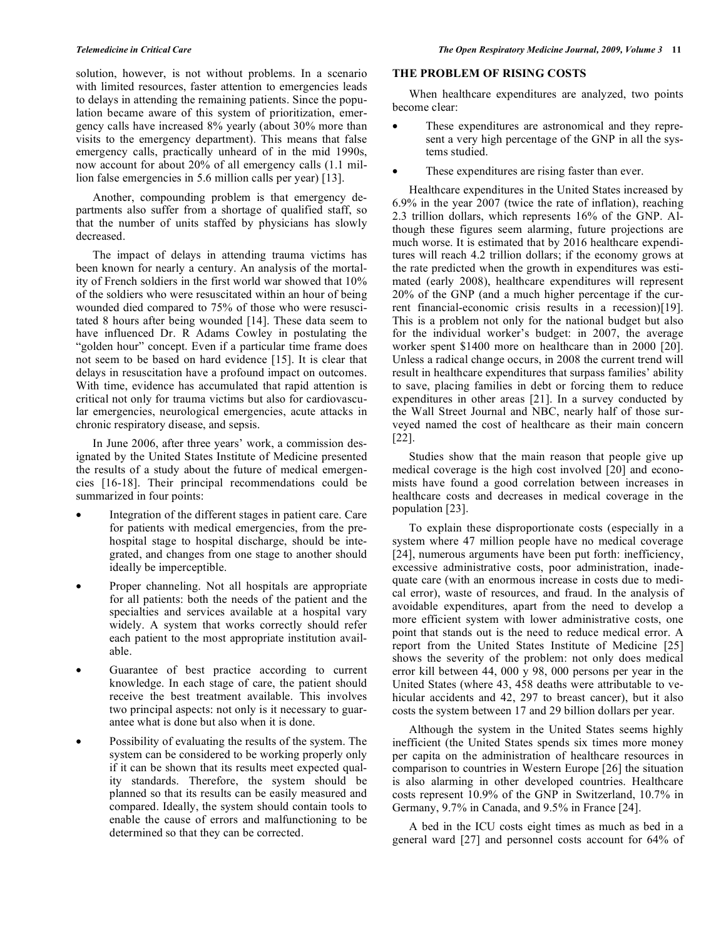solution, however, is not without problems. In a scenario with limited resources, faster attention to emergencies leads to delays in attending the remaining patients. Since the population became aware of this system of prioritization, emergency calls have increased 8% yearly (about 30% more than visits to the emergency department). This means that false emergency calls, practically unheard of in the mid 1990s, now account for about 20% of all emergency calls (1.1 million false emergencies in 5.6 million calls per year) [13].

 Another, compounding problem is that emergency departments also suffer from a shortage of qualified staff, so that the number of units staffed by physicians has slowly decreased.

 The impact of delays in attending trauma victims has been known for nearly a century. An analysis of the mortality of French soldiers in the first world war showed that 10% of the soldiers who were resuscitated within an hour of being wounded died compared to 75% of those who were resuscitated 8 hours after being wounded [14]. These data seem to have influenced Dr. R Adams Cowley in postulating the "golden hour" concept. Even if a particular time frame does not seem to be based on hard evidence [15]. It is clear that delays in resuscitation have a profound impact on outcomes. With time, evidence has accumulated that rapid attention is critical not only for trauma victims but also for cardiovascular emergencies, neurological emergencies, acute attacks in chronic respiratory disease, and sepsis.

 In June 2006, after three years' work, a commission designated by the United States Institute of Medicine presented the results of a study about the future of medical emergencies [16-18]. Their principal recommendations could be summarized in four points:

- Integration of the different stages in patient care. Care for patients with medical emergencies, from the prehospital stage to hospital discharge, should be integrated, and changes from one stage to another should ideally be imperceptible.
- Proper channeling. Not all hospitals are appropriate for all patients: both the needs of the patient and the specialties and services available at a hospital vary widely. A system that works correctly should refer each patient to the most appropriate institution available.
- Guarantee of best practice according to current knowledge. In each stage of care, the patient should receive the best treatment available. This involves two principal aspects: not only is it necessary to guarantee what is done but also when it is done.
- Possibility of evaluating the results of the system. The system can be considered to be working properly only if it can be shown that its results meet expected quality standards. Therefore, the system should be planned so that its results can be easily measured and compared. Ideally, the system should contain tools to enable the cause of errors and malfunctioning to be determined so that they can be corrected.

# **THE PROBLEM OF RISING COSTS**

 When healthcare expenditures are analyzed, two points become clear:

- These expenditures are astronomical and they represent a very high percentage of the GNP in all the systems studied.
- These expenditures are rising faster than ever.

 Healthcare expenditures in the United States increased by 6.9% in the year 2007 (twice the rate of inflation), reaching 2.3 trillion dollars, which represents 16% of the GNP. Although these figures seem alarming, future projections are much worse. It is estimated that by 2016 healthcare expenditures will reach 4.2 trillion dollars; if the economy grows at the rate predicted when the growth in expenditures was estimated (early 2008), healthcare expenditures will represent 20% of the GNP (and a much higher percentage if the current financial-economic crisis results in a recession)[19]. This is a problem not only for the national budget but also for the individual worker's budget: in 2007, the average worker spent \$1400 more on healthcare than in 2000 [20]. Unless a radical change occurs, in 2008 the current trend will result in healthcare expenditures that surpass families' ability to save, placing families in debt or forcing them to reduce expenditures in other areas [21]. In a survey conducted by the Wall Street Journal and NBC, nearly half of those surveyed named the cost of healthcare as their main concern [22].

 Studies show that the main reason that people give up medical coverage is the high cost involved [20] and economists have found a good correlation between increases in healthcare costs and decreases in medical coverage in the population [23].

 To explain these disproportionate costs (especially in a system where 47 million people have no medical coverage [24], numerous arguments have been put forth: inefficiency, excessive administrative costs, poor administration, inadequate care (with an enormous increase in costs due to medical error), waste of resources, and fraud. In the analysis of avoidable expenditures, apart from the need to develop a more efficient system with lower administrative costs, one point that stands out is the need to reduce medical error. A report from the United States Institute of Medicine [25] shows the severity of the problem: not only does medical error kill between 44, 000 y 98, 000 persons per year in the United States (where 43, 458 deaths were attributable to vehicular accidents and 42, 297 to breast cancer), but it also costs the system between 17 and 29 billion dollars per year.

 Although the system in the United States seems highly inefficient (the United States spends six times more money per capita on the administration of healthcare resources in comparison to countries in Western Europe [26] the situation is also alarming in other developed countries. Healthcare costs represent 10.9% of the GNP in Switzerland, 10.7% in Germany, 9.7% in Canada, and 9.5% in France [24].

 A bed in the ICU costs eight times as much as bed in a general ward [27] and personnel costs account for 64% of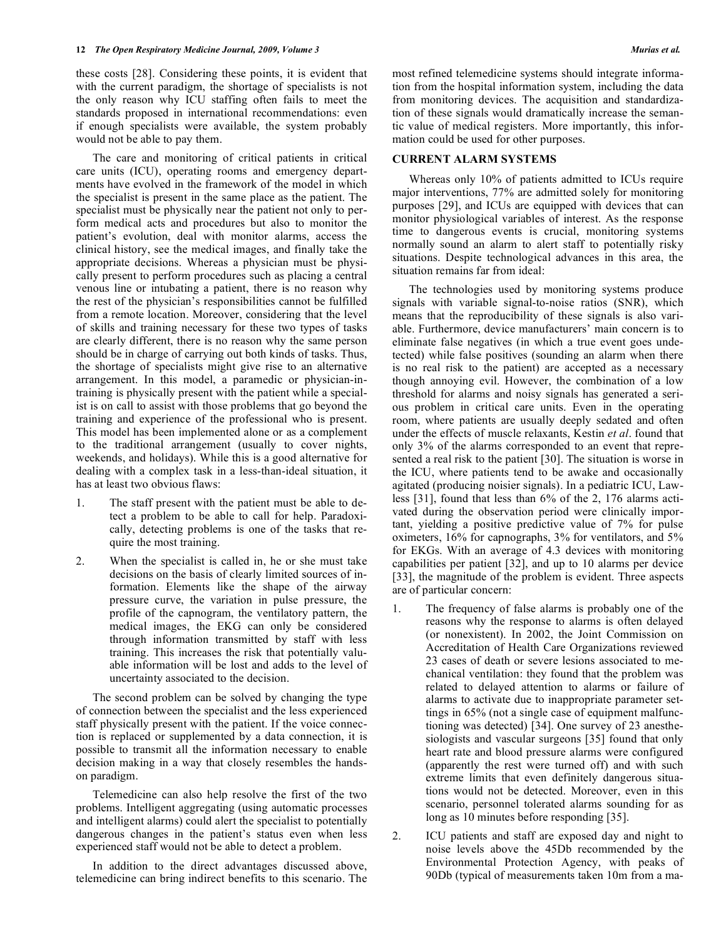these costs [28]. Considering these points, it is evident that with the current paradigm, the shortage of specialists is not the only reason why ICU staffing often fails to meet the standards proposed in international recommendations: even if enough specialists were available, the system probably would not be able to pay them.

 The care and monitoring of critical patients in critical care units (ICU), operating rooms and emergency departments have evolved in the framework of the model in which the specialist is present in the same place as the patient. The specialist must be physically near the patient not only to perform medical acts and procedures but also to monitor the patient's evolution, deal with monitor alarms, access the clinical history, see the medical images, and finally take the appropriate decisions. Whereas a physician must be physically present to perform procedures such as placing a central venous line or intubating a patient, there is no reason why the rest of the physician's responsibilities cannot be fulfilled from a remote location. Moreover, considering that the level of skills and training necessary for these two types of tasks are clearly different, there is no reason why the same person should be in charge of carrying out both kinds of tasks. Thus, the shortage of specialists might give rise to an alternative arrangement. In this model, a paramedic or physician-intraining is physically present with the patient while a specialist is on call to assist with those problems that go beyond the training and experience of the professional who is present. This model has been implemented alone or as a complement to the traditional arrangement (usually to cover nights, weekends, and holidays). While this is a good alternative for dealing with a complex task in a less-than-ideal situation, it has at least two obvious flaws:

- 1. The staff present with the patient must be able to detect a problem to be able to call for help. Paradoxically, detecting problems is one of the tasks that require the most training.
- 2. When the specialist is called in, he or she must take decisions on the basis of clearly limited sources of information. Elements like the shape of the airway pressure curve, the variation in pulse pressure, the profile of the capnogram, the ventilatory pattern, the medical images, the EKG can only be considered through information transmitted by staff with less training. This increases the risk that potentially valuable information will be lost and adds to the level of uncertainty associated to the decision.

 The second problem can be solved by changing the type of connection between the specialist and the less experienced staff physically present with the patient. If the voice connection is replaced or supplemented by a data connection, it is possible to transmit all the information necessary to enable decision making in a way that closely resembles the handson paradigm.

 Telemedicine can also help resolve the first of the two problems. Intelligent aggregating (using automatic processes and intelligent alarms) could alert the specialist to potentially dangerous changes in the patient's status even when less experienced staff would not be able to detect a problem.

 In addition to the direct advantages discussed above, telemedicine can bring indirect benefits to this scenario. The most refined telemedicine systems should integrate information from the hospital information system, including the data from monitoring devices. The acquisition and standardization of these signals would dramatically increase the semantic value of medical registers. More importantly, this information could be used for other purposes.

# **CURRENT ALARM SYSTEMS**

 Whereas only 10% of patients admitted to ICUs require major interventions, 77% are admitted solely for monitoring purposes [29], and ICUs are equipped with devices that can monitor physiological variables of interest. As the response time to dangerous events is crucial, monitoring systems normally sound an alarm to alert staff to potentially risky situations. Despite technological advances in this area, the situation remains far from ideal:

 The technologies used by monitoring systems produce signals with variable signal-to-noise ratios (SNR), which means that the reproducibility of these signals is also variable. Furthermore, device manufacturers' main concern is to eliminate false negatives (in which a true event goes undetected) while false positives (sounding an alarm when there is no real risk to the patient) are accepted as a necessary though annoying evil. However, the combination of a low threshold for alarms and noisy signals has generated a serious problem in critical care units. Even in the operating room, where patients are usually deeply sedated and often under the effects of muscle relaxants, Kestin *et al*. found that only 3% of the alarms corresponded to an event that represented a real risk to the patient [30]. The situation is worse in the ICU, where patients tend to be awake and occasionally agitated (producing noisier signals). In a pediatric ICU, Lawless [31], found that less than 6% of the 2, 176 alarms activated during the observation period were clinically important, yielding a positive predictive value of 7% for pulse oximeters, 16% for capnographs, 3% for ventilators, and 5% for EKGs. With an average of 4.3 devices with monitoring capabilities per patient [32], and up to 10 alarms per device [33], the magnitude of the problem is evident. Three aspects are of particular concern:

- 1. The frequency of false alarms is probably one of the reasons why the response to alarms is often delayed (or nonexistent). In 2002, the Joint Commission on Accreditation of Health Care Organizations reviewed 23 cases of death or severe lesions associated to mechanical ventilation: they found that the problem was related to delayed attention to alarms or failure of alarms to activate due to inappropriate parameter settings in 65% (not a single case of equipment malfunctioning was detected) [34]. One survey of 23 anesthesiologists and vascular surgeons [35] found that only heart rate and blood pressure alarms were configured (apparently the rest were turned off) and with such extreme limits that even definitely dangerous situations would not be detected. Moreover, even in this scenario, personnel tolerated alarms sounding for as long as 10 minutes before responding [35].
- 2. ICU patients and staff are exposed day and night to noise levels above the 45Db recommended by the Environmental Protection Agency, with peaks of 90Db (typical of measurements taken 10m from a ma-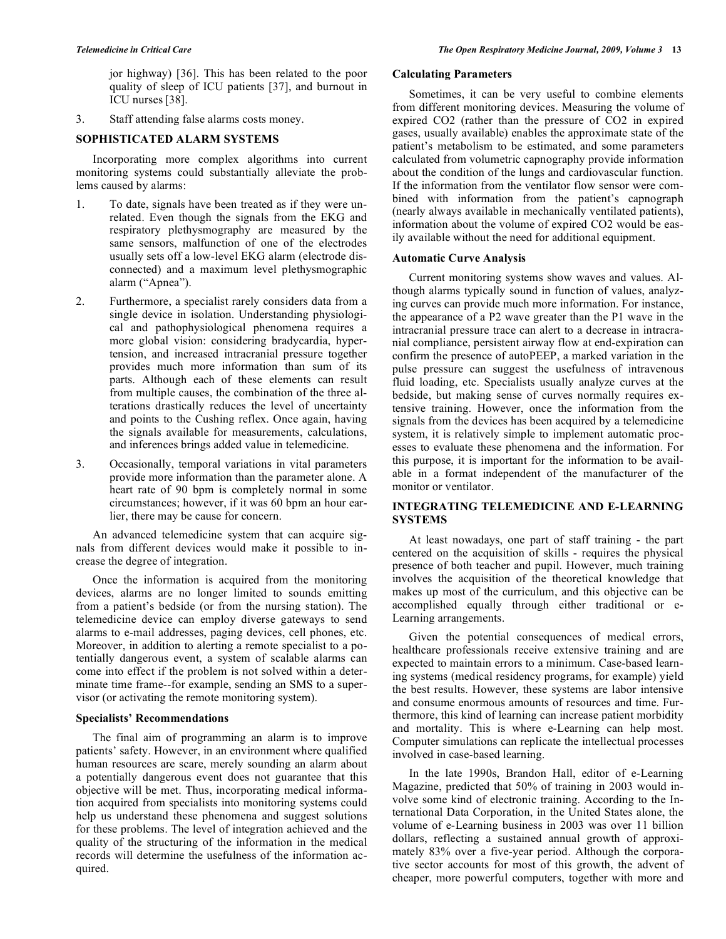jor highway) [36]. This has been related to the poor quality of sleep of ICU patients [37], and burnout in ICU nurses[38].

3. Staff attending false alarms costs money.

# **SOPHISTICATED ALARM SYSTEMS**

 Incorporating more complex algorithms into current monitoring systems could substantially alleviate the problems caused by alarms:

- 1. To date, signals have been treated as if they were unrelated. Even though the signals from the EKG and respiratory plethysmography are measured by the same sensors, malfunction of one of the electrodes usually sets off a low-level EKG alarm (electrode disconnected) and a maximum level plethysmographic alarm ("Apnea").
- 2. Furthermore, a specialist rarely considers data from a single device in isolation. Understanding physiological and pathophysiological phenomena requires a more global vision: considering bradycardia, hypertension, and increased intracranial pressure together provides much more information than sum of its parts. Although each of these elements can result from multiple causes, the combination of the three alterations drastically reduces the level of uncertainty and points to the Cushing reflex. Once again, having the signals available for measurements, calculations, and inferences brings added value in telemedicine.
- 3. Occasionally, temporal variations in vital parameters provide more information than the parameter alone. A heart rate of 90 bpm is completely normal in some circumstances; however, if it was 60 bpm an hour earlier, there may be cause for concern.

 An advanced telemedicine system that can acquire signals from different devices would make it possible to increase the degree of integration.

 Once the information is acquired from the monitoring devices, alarms are no longer limited to sounds emitting from a patient's bedside (or from the nursing station). The telemedicine device can employ diverse gateways to send alarms to e-mail addresses, paging devices, cell phones, etc. Moreover, in addition to alerting a remote specialist to a potentially dangerous event, a system of scalable alarms can come into effect if the problem is not solved within a determinate time frame--for example, sending an SMS to a supervisor (or activating the remote monitoring system).

# **Specialists' Recommendations**

 The final aim of programming an alarm is to improve patients' safety. However, in an environment where qualified human resources are scare, merely sounding an alarm about a potentially dangerous event does not guarantee that this objective will be met. Thus, incorporating medical information acquired from specialists into monitoring systems could help us understand these phenomena and suggest solutions for these problems. The level of integration achieved and the quality of the structuring of the information in the medical records will determine the usefulness of the information acquired.

#### **Calculating Parameters**

 Sometimes, it can be very useful to combine elements from different monitoring devices. Measuring the volume of expired CO2 (rather than the pressure of CO2 in expired gases, usually available) enables the approximate state of the patient's metabolism to be estimated, and some parameters calculated from volumetric capnography provide information about the condition of the lungs and cardiovascular function. If the information from the ventilator flow sensor were combined with information from the patient's capnograph (nearly always available in mechanically ventilated patients), information about the volume of expired CO2 would be easily available without the need for additional equipment.

# **Automatic Curve Analysis**

 Current monitoring systems show waves and values. Although alarms typically sound in function of values, analyzing curves can provide much more information. For instance, the appearance of a P2 wave greater than the P1 wave in the intracranial pressure trace can alert to a decrease in intracranial compliance, persistent airway flow at end-expiration can confirm the presence of autoPEEP, a marked variation in the pulse pressure can suggest the usefulness of intravenous fluid loading, etc. Specialists usually analyze curves at the bedside, but making sense of curves normally requires extensive training. However, once the information from the signals from the devices has been acquired by a telemedicine system, it is relatively simple to implement automatic processes to evaluate these phenomena and the information. For this purpose, it is important for the information to be available in a format independent of the manufacturer of the monitor or ventilator.

# **INTEGRATING TELEMEDICINE AND E-LEARNING SYSTEMS**

 At least nowadays, one part of staff training - the part centered on the acquisition of skills - requires the physical presence of both teacher and pupil. However, much training involves the acquisition of the theoretical knowledge that makes up most of the curriculum, and this objective can be accomplished equally through either traditional or e-Learning arrangements.

 Given the potential consequences of medical errors, healthcare professionals receive extensive training and are expected to maintain errors to a minimum. Case-based learning systems (medical residency programs, for example) yield the best results. However, these systems are labor intensive and consume enormous amounts of resources and time. Furthermore, this kind of learning can increase patient morbidity and mortality. This is where e-Learning can help most. Computer simulations can replicate the intellectual processes involved in case-based learning.

 In the late 1990s, Brandon Hall, editor of e-Learning Magazine, predicted that 50% of training in 2003 would involve some kind of electronic training. According to the International Data Corporation, in the United States alone, the volume of e-Learning business in 2003 was over 11 billion dollars, reflecting a sustained annual growth of approximately 83% over a five-year period. Although the corporative sector accounts for most of this growth, the advent of cheaper, more powerful computers, together with more and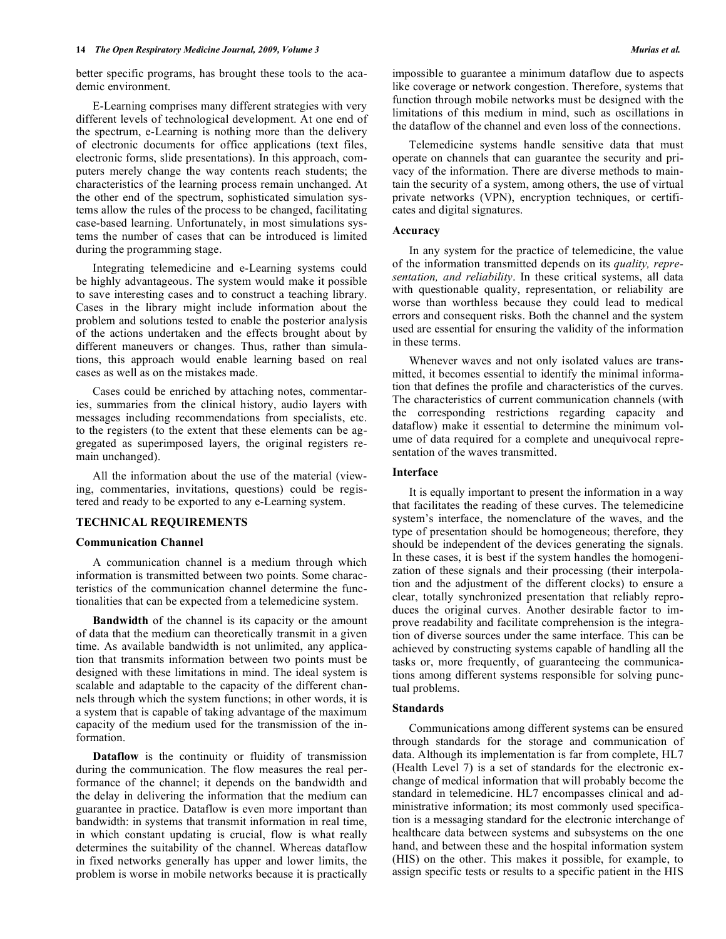better specific programs, has brought these tools to the academic environment.

 E-Learning comprises many different strategies with very different levels of technological development. At one end of the spectrum, e-Learning is nothing more than the delivery of electronic documents for office applications (text files, electronic forms, slide presentations). In this approach, computers merely change the way contents reach students; the characteristics of the learning process remain unchanged. At the other end of the spectrum, sophisticated simulation systems allow the rules of the process to be changed, facilitating case-based learning. Unfortunately, in most simulations systems the number of cases that can be introduced is limited during the programming stage.

 Integrating telemedicine and e-Learning systems could be highly advantageous. The system would make it possible to save interesting cases and to construct a teaching library. Cases in the library might include information about the problem and solutions tested to enable the posterior analysis of the actions undertaken and the effects brought about by different maneuvers or changes. Thus, rather than simulations, this approach would enable learning based on real cases as well as on the mistakes made.

 Cases could be enriched by attaching notes, commentaries, summaries from the clinical history, audio layers with messages including recommendations from specialists, etc. to the registers (to the extent that these elements can be aggregated as superimposed layers, the original registers remain unchanged).

 All the information about the use of the material (viewing, commentaries, invitations, questions) could be registered and ready to be exported to any e-Learning system.

# **TECHNICAL REQUIREMENTS**

#### **Communication Channel**

 A communication channel is a medium through which information is transmitted between two points. Some characteristics of the communication channel determine the functionalities that can be expected from a telemedicine system.

**Bandwidth** of the channel is its capacity or the amount of data that the medium can theoretically transmit in a given time. As available bandwidth is not unlimited, any application that transmits information between two points must be designed with these limitations in mind. The ideal system is scalable and adaptable to the capacity of the different channels through which the system functions; in other words, it is a system that is capable of taking advantage of the maximum capacity of the medium used for the transmission of the information.

 **Dataflow** is the continuity or fluidity of transmission during the communication. The flow measures the real performance of the channel; it depends on the bandwidth and the delay in delivering the information that the medium can guarantee in practice. Dataflow is even more important than bandwidth: in systems that transmit information in real time, in which constant updating is crucial, flow is what really determines the suitability of the channel. Whereas dataflow in fixed networks generally has upper and lower limits, the problem is worse in mobile networks because it is practically impossible to guarantee a minimum dataflow due to aspects like coverage or network congestion. Therefore, systems that function through mobile networks must be designed with the limitations of this medium in mind, such as oscillations in the dataflow of the channel and even loss of the connections.

 Telemedicine systems handle sensitive data that must operate on channels that can guarantee the security and privacy of the information. There are diverse methods to maintain the security of a system, among others, the use of virtual private networks (VPN), encryption techniques, or certificates and digital signatures.

#### **Accuracy**

 In any system for the practice of telemedicine, the value of the information transmitted depends on its *quality, representation, and reliability*. In these critical systems, all data with questionable quality, representation, or reliability are worse than worthless because they could lead to medical errors and consequent risks. Both the channel and the system used are essential for ensuring the validity of the information in these terms.

 Whenever waves and not only isolated values are transmitted, it becomes essential to identify the minimal information that defines the profile and characteristics of the curves. The characteristics of current communication channels (with the corresponding restrictions regarding capacity and dataflow) make it essential to determine the minimum volume of data required for a complete and unequivocal representation of the waves transmitted.

#### **Interface**

 It is equally important to present the information in a way that facilitates the reading of these curves. The telemedicine system's interface, the nomenclature of the waves, and the type of presentation should be homogeneous; therefore, they should be independent of the devices generating the signals. In these cases, it is best if the system handles the homogenization of these signals and their processing (their interpolation and the adjustment of the different clocks) to ensure a clear, totally synchronized presentation that reliably reproduces the original curves. Another desirable factor to improve readability and facilitate comprehension is the integration of diverse sources under the same interface. This can be achieved by constructing systems capable of handling all the tasks or, more frequently, of guaranteeing the communications among different systems responsible for solving punctual problems.

## **Standards**

 Communications among different systems can be ensured through standards for the storage and communication of data. Although its implementation is far from complete, HL7 (Health Level 7) is a set of standards for the electronic exchange of medical information that will probably become the standard in telemedicine. HL7 encompasses clinical and administrative information; its most commonly used specification is a messaging standard for the electronic interchange of healthcare data between systems and subsystems on the one hand, and between these and the hospital information system (HIS) on the other. This makes it possible, for example, to assign specific tests or results to a specific patient in the HIS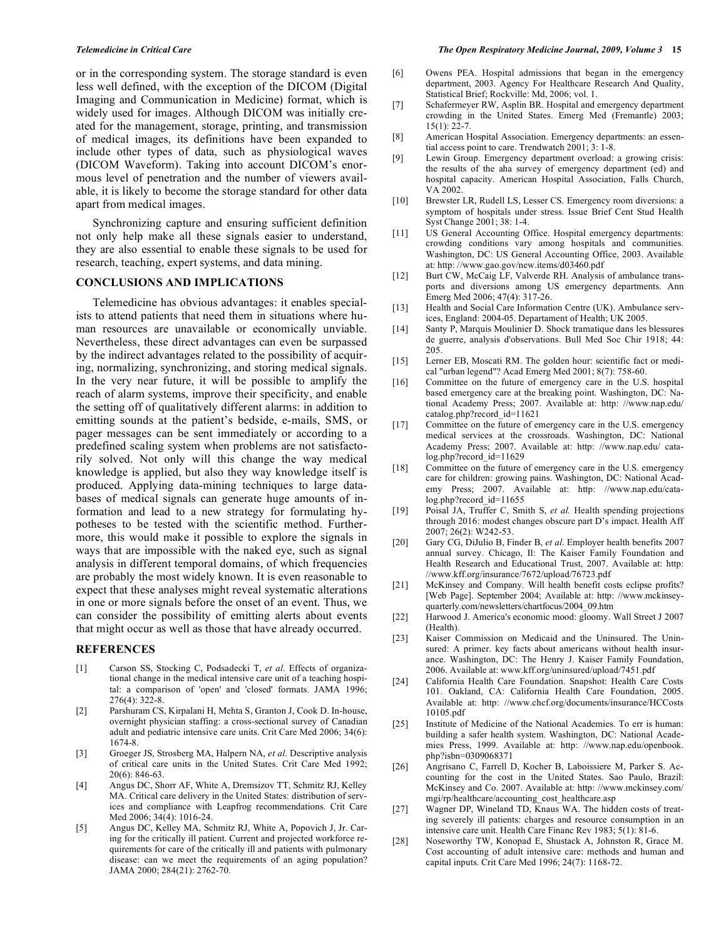or in the corresponding system. The storage standard is even less well defined, with the exception of the DICOM (Digital Imaging and Communication in Medicine) format, which is widely used for images. Although DICOM was initially created for the management, storage, printing, and transmission of medical images, its definitions have been expanded to include other types of data, such as physiological waves (DICOM Waveform). Taking into account DICOM's enormous level of penetration and the number of viewers available, it is likely to become the storage standard for other data apart from medical images.

 Synchronizing capture and ensuring sufficient definition not only help make all these signals easier to understand, they are also essential to enable these signals to be used for research, teaching, expert systems, and data mining.

#### **CONCLUSIONS AND IMPLICATIONS**

 Telemedicine has obvious advantages: it enables specialists to attend patients that need them in situations where human resources are unavailable or economically unviable. Nevertheless, these direct advantages can even be surpassed by the indirect advantages related to the possibility of acquiring, normalizing, synchronizing, and storing medical signals. In the very near future, it will be possible to amplify the reach of alarm systems, improve their specificity, and enable the setting off of qualitatively different alarms: in addition to emitting sounds at the patient's bedside, e-mails, SMS, or pager messages can be sent immediately or according to a predefined scaling system when problems are not satisfactorily solved. Not only will this change the way medical knowledge is applied, but also they way knowledge itself is produced. Applying data-mining techniques to large databases of medical signals can generate huge amounts of information and lead to a new strategy for formulating hypotheses to be tested with the scientific method. Furthermore, this would make it possible to explore the signals in ways that are impossible with the naked eye, such as signal analysis in different temporal domains, of which frequencies are probably the most widely known. It is even reasonable to expect that these analyses might reveal systematic alterations in one or more signals before the onset of an event. Thus, we can consider the possibility of emitting alerts about events that might occur as well as those that have already occurred.

# **REFERENCES**

- [1] Carson SS, Stocking C, Podsadecki T, *et al*. Effects of organizational change in the medical intensive care unit of a teaching hospital: a comparison of 'open' and 'closed' formats. JAMA 1996; 276(4): 322-8.
- [2] Parshuram CS, Kirpalani H, Mehta S, Granton J, Cook D. In-house, overnight physician staffing: a cross-sectional survey of Canadian adult and pediatric intensive care units. Crit Care Med 2006; 34(6): 1674-8.
- [3] Groeger JS, Strosberg MA, Halpern NA, *et al*. Descriptive analysis of critical care units in the United States. Crit Care Med 1992; 20(6): 846-63.
- [4] Angus DC, Shorr AF, White A, Dremsizov TT, Schmitz RJ, Kelley MA. Critical care delivery in the United States: distribution of services and compliance with Leapfrog recommendations. Crit Care Med 2006; 34(4): 1016-24.
- [5] Angus DC, Kelley MA, Schmitz RJ, White A, Popovich J, Jr. Caring for the critically ill patient. Current and projected workforce requirements for care of the critically ill and patients with pulmonary disease: can we meet the requirements of an aging population? JAMA 2000; 284(21): 2762-70.
- [6] Owens PEA. Hospital admissions that began in the emergency department, 2003. Agency For Healthcare Research And Quality, Statistical Brief; Rockville: Md, 2006; vol. 1.
- [7] Schafermeyer RW, Asplin BR. Hospital and emergency department crowding in the United States. Emerg Med (Fremantle) 2003; 15(1): 22-7.
- [8] American Hospital Association. Emergency departments: an essential access point to care. Trendwatch 2001; 3: 1-8.
- [9] Lewin Group. Emergency department overload: a growing crisis: the results of the aha survey of emergency department (ed) and hospital capacity. American Hospital Association, Falls Church, VA 2002.
- [10] Brewster LR, Rudell LS, Lesser CS. Emergency room diversions: a symptom of hospitals under stress. Issue Brief Cent Stud Health Syst Change 2001; 38: 1-4.
- [11] US General Accounting Office. Hospital emergency departments: crowding conditions vary among hospitals and communities. Washington, DC: US General Accounting Office, 2003. Available at: http: //www.gao.gov/new.items/d03460.pdf
- [12] Burt CW, McCaig LF, Valverde RH. Analysis of ambulance transports and diversions among US emergency departments. Ann Emerg Med 2006; 47(4): 317-26.
- [13] Health and Social Care Information Centre (UK). Ambulance services, England: 2004-05. Departament of Health; UK 2005.
- [14] Santy P, Marquis Moulinier D. Shock tramatique dans les blessures de guerre, analysis d'observations. Bull Med Soc Chir 1918; 44: 205.
- [15] Lerner EB, Moscati RM. The golden hour: scientific fact or medical "urban legend"? Acad Emerg Med 2001; 8(7): 758-60.
- [16] Committee on the future of emergency care in the U.S. hospital based emergency care at the breaking point. Washington, DC: National Academy Press; 2007. Available at: http: //www.nap.edu/ catalog.php?record\_id=11621
- [17] Committee on the future of emergency care in the U.S. emergency medical services at the crossroads. Washington, DC: National Academy Press; 2007. Available at: http: //www.nap.edu/ catalog.php?record\_id=11629
- [18] Committee on the future of emergency care in the U.S. emergency care for children: growing pains. Washington, DC: National Academy Press; 2007. Available at: http: //www.nap.edu/catalog.php?record\_id=11655
- [19] Poisal JA, Truffer C, Smith S, et al. Health spending projections through 2016: modest changes obscure part D's impact. Health Aff 2007; 26(2): W242-53.
- [20] Gary CG, DiJulio B, Finder B, *et al*. Employer health benefits 2007 annual survey. Chicago, Il: The Kaiser Family Foundation and Health Research and Educational Trust, 2007. Available at: http: //www.kff.org/insurance/7672/upload/76723.pdf
- [21] McKinsey and Company. Will health benefit costs eclipse profits? [Web Page]. September 2004; Available at: http: //www.mckinseyquarterly.com/newsletters/chartfocus/2004\_09.htm
- [22] Harwood J. America's economic mood: gloomy. Wall Street J 2007 (Health).
- [23] Kaiser Commission on Medicaid and the Uninsured. The Uninsured: A primer. key facts about americans without health insurance. Washington, DC: The Henry J. Kaiser Family Foundation, 2006. Available at: www.kff.org/uninsured/upload/7451.pdf
- [24] California Health Care Foundation. Snapshot: Health Care Costs 101. Oakland, CA: California Health Care Foundation, 2005. Available at: http: //www.chcf.org/documents/insurance/HCCosts 10105.pdf
- [25] Institute of Medicine of the National Academies. To err is human: building a safer health system. Washington, DC: National Academies Press, 1999. Available at: http: //www.nap.edu/openbook. php?isbn=0309068371
- [26] Angrisano C, Farrell D, Kocher B, Laboissiere M, Parker S. Accounting for the cost in the United States. Sao Paulo, Brazil: McKinsey and Co. 2007. Available at: http: //www.mckinsey.com/ mgi/rp/healthcare/accounting\_cost\_healthcare.asp
- [27] Wagner DP, Wineland TD, Knaus WA. The hidden costs of treating severely ill patients: charges and resource consumption in an intensive care unit. Health Care Financ Rev 1983; 5(1): 81-6.
- [28] Noseworthy TW, Konopad E, Shustack A, Johnston R, Grace M. Cost accounting of adult intensive care: methods and human and capital inputs. Crit Care Med 1996; 24(7): 1168-72.